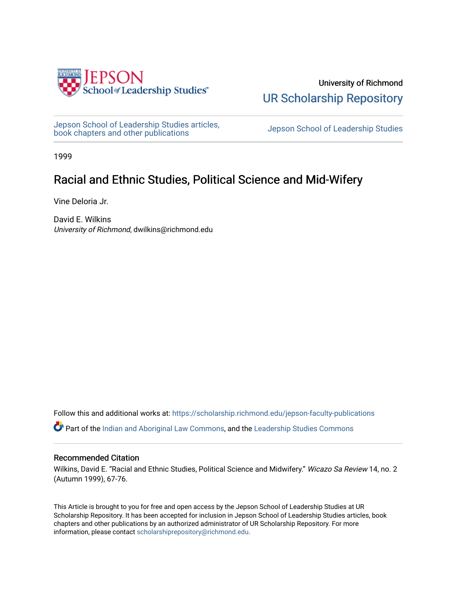

University of Richmond [UR Scholarship Repository](https://scholarship.richmond.edu/) 

[Jepson School of Leadership Studies articles,](https://scholarship.richmond.edu/jepson-faculty-publications) bepson School of Leadership Studies articles,<br>[book chapters and other publications](https://scholarship.richmond.edu/jepson-faculty-publications) book chapters and other publications

1999

## Racial and Ethnic Studies, Political Science and Mid-Wifery

Vine Deloria Jr.

David E. Wilkins University of Richmond, dwilkins@richmond.edu

Follow this and additional works at: [https://scholarship.richmond.edu/jepson-faculty-publications](https://scholarship.richmond.edu/jepson-faculty-publications?utm_source=scholarship.richmond.edu%2Fjepson-faculty-publications%2F301&utm_medium=PDF&utm_campaign=PDFCoverPages)

Part of the [Indian and Aboriginal Law Commons,](http://network.bepress.com/hgg/discipline/894?utm_source=scholarship.richmond.edu%2Fjepson-faculty-publications%2F301&utm_medium=PDF&utm_campaign=PDFCoverPages) and the [Leadership Studies Commons](http://network.bepress.com/hgg/discipline/1250?utm_source=scholarship.richmond.edu%2Fjepson-faculty-publications%2F301&utm_medium=PDF&utm_campaign=PDFCoverPages) 

#### Recommended Citation

Wilkins, David E. "Racial and Ethnic Studies, Political Science and Midwifery." Wicazo Sa Review 14, no. 2 (Autumn 1999), 67-76.

This Article is brought to you for free and open access by the Jepson School of Leadership Studies at UR Scholarship Repository. It has been accepted for inclusion in Jepson School of Leadership Studies articles, book chapters and other publications by an authorized administrator of UR Scholarship Repository. For more information, please contact [scholarshiprepository@richmond.edu](mailto:scholarshiprepository@richmond.edu).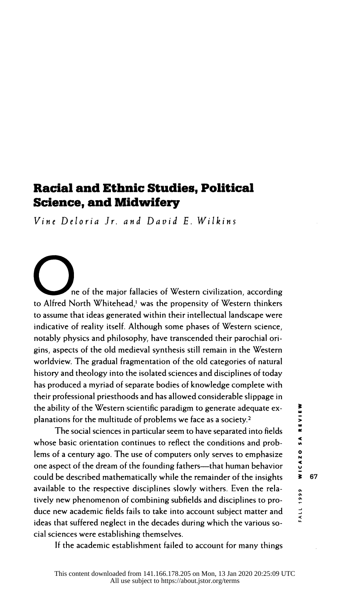### Racial and Ethnic Studies, Political Science, and Midwifery

Vine Deloria Jr. and David E. Wilkins

ne of the major fallacies of Western civilization, according to Alfred North Whitehead,' was the propensity of Western thinkers to assume that ideas generated within their intellectual landscape were indicative of reality itself. Although some phases of Western science, notably physics and philosophy, have transcended their parochial ori gins, aspects of the old medieval synthesis still remain in the Western worldview. The gradual fragmentation of the old categories of natural history and theology into the isolated sciences and disciplines of today has produced a myriad of separate bodies of knowledge complete with the ability of the Western scientific paradigm to generate adequate ex planations for the multitude of problems we face as a society.2

their professional priesthoods and has allowed considerable slippage in<br>the ability of the Western scientific paradigm to generate adequate ex-<br>planations for the multitude of problems we face as a society.<sup>2</sup><br>The social s The social sciences in particular seem to have separated into fields whose basic orientation continues to reflect the conditions and prob lems of a century ago. The use of computers only serves to emphasize one aspect of the dream of the founding fathers—that human behavior could be described mathematically while the remainder of the insights  $\frac{1}{5}$  67 available to the respective disciplines slowly withers. Even the rela-<br>tively new phenomenon of combining subfields and disciplines to pro-<br>duce new academic fields fails to take into account subject matter and<br>idea that tively new phenomenon of combining subfields and disciplines to pro duce new academic fields fails to take into account subject matter and ideas that suffered neglect in the decades during which the various so cial sciences were establishing themselves.

If the academic establishment failed to account for many things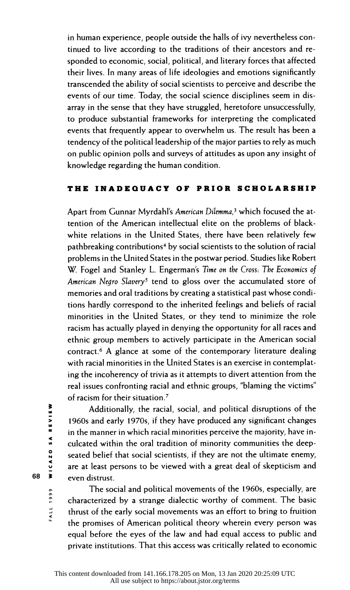in human experience, people outside the halls of ivy nevertheless con tinued to live according to the traditions of their ancestors and re sponded to economic, social, political, and literary forces that affected their lives. In many areas of life ideologies and emotions significantly transcended the ability of social scientists to perceive and describe the events of our time. Today, the social science disciplines seem in dis array in the sense that they have struggled, heretofore unsuccessfully, to produce substantial frameworks for interpreting the complicated events that frequently appear to overwhelm us. The result has been a tendency of the political leadership of the major parties to rely as much on public opinion polls and surveys of attitudes as upon any insight of knowledge regarding the human condition.

#### THE INADEQUACY OF PRIOR SCHOLARSHIP

Apart from Gunnar Myrdahl's American Dilemma,<sup>3</sup> which focused the at tention of the American intellectual elite on the problems of black white relations in the United States, there have been relatively few pathbreaking contributions<sup>4</sup> by social scientists to the solution of racial problems in the United States in the postwar period. Studies like Robert W. Fogel and Stanley L. Engerman's Time on the Cross: The Economics of American Negro Slavery<sup>5</sup> tend to gloss over the accumulated store of memories and oral traditions by creating a statistical past whose condi tions hardly correspond to the inherited feelings and beliefs of racial minorities in the United States, or they tend to minimize the role racism has actually played in denying the opportunity for all races and ethnic group members to actively participate in the American social contract.6 A glance at some of the contemporary literature dealing with racial minorities in the United States is an exercise in contemplat ing the incoherency of trivia as it attempts to divert attention from the real issues confronting racial and ethnic groups, "blaming the victims" of racism for their situation.7

 Additionally, the racial, social, and political disruptions of the 1960s and early 1970s, if they have produced any significant changes in the manner in which racial minorities perceive the majority, have in culcated within the oral tradition of minority communities the deep seated belief that social scientists, if they are not the ultimate enemy, Additionally, the racial, social, and political disruptions of the<br>
1960s and early 1970s, if they have produced any significant changes<br>
in the manner in which racial minorities perceive the majority, have in-<br>
culcated w 68  $\overline{\phantom{1}}\phantom{1}$  even distrust.

> The social and political movements of the 1960s, especially, are characterized by a strange dialectic worthy of comment. The basic thrust of the early social movements was an effort to bring to fruition the promises of American political theory wherein every person was equal before the eyes of the law and had equal access to public and private institutions. That this access was critically related to economic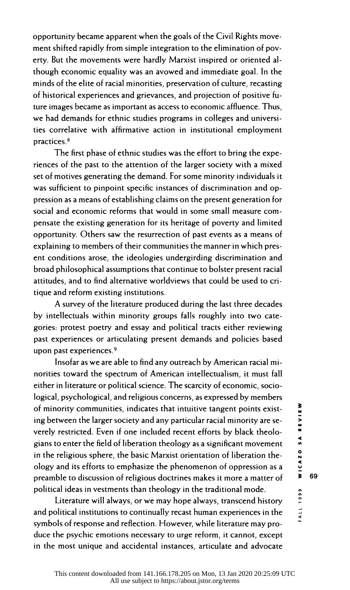opportunity became apparent when the goals of the Civil Rights move ment shifted rapidly from simple integration to the elimination of pov erty. But the movements were hardly Marxist inspired or oriented al though economic equality was an avowed and immediate goal. In the minds of the elite of racial minorities, preservation of culture, recasting of historical experiences and grievances, and projection of positive fu ture images became as important as access to economic affluence. Thus, we had demands for ethnic studies programs in colleges and universi ties correlative with affirmative action in institutional employment practices.8

 The first phase of ethnic studies was the effort to bring the expe riences of the past to the attention of the larger society with a mixed set of motives generating the demand. For some minority individuals it was sufficient to pinpoint specific instances of discrimination and op pression as a means of establishing claims on the present generation for social and economic reforms that would in some small measure com pensate the existing generation for its heritage of poverty and limited opportunity. Others saw the resurrection of past events as a means of explaining to members of their communities the manner in which pres ent conditions arose, the ideologies undergirding discrimination and broad philosophical assumptions that continue to bolster present racial attitudes, and to find alternative worldviews that could be used to cri tique and reform existing institutions.

 A survey of the literature produced during the last three decades by intellectuals within minority groups falls roughly into two cate gories: protest poetry and essay and political tracts either reviewing past experiences or articulating present demands and policies based upon past experiences.9

 Insofar as we are able to find any outreach by American racial mi norities toward the spectrum of American intellectualism, it must fall either in literature or political science. The scarcity of economic, socio logical, psychological, and religious concerns, as expressed by members<br>of minority communities, indicates that intuitive tangent points exist-<br>ing between the larger society and any particular racial minority are se-<br>ver of minority communities, indicates that intuitive tangent points exist ing between the larger society and any particular racial minority are se verely restricted. Even if one included recent efforts by black theolo gians to enter the field of liberation theology as a significant movement in the religious sphere, the basic Marxist orientation of liberation the ology and its efforts to emphasize the phenomenon of oppression as a  $\frac{5}{2}$ <br>preamble to discussion of religious doctrines makes it more a matter of  $\frac{3}{2}$  69 preamble to discussion of religious doctrines makes it more a matter of political ideas in vestments than theology in the traditional mode.

cal ideas in vestments than theology in the traditional mode.<br>
Literature will always, or we may hope always, transcend history<br>
olitical institutions to continually recast human experiences in the and political institutions to continually recast human experiences in the symbols of response and reflection. However, while literature may pro duce the psychic emotions necessary to urge reform, it cannot, except in the most unique and accidental instances, articulate and advocate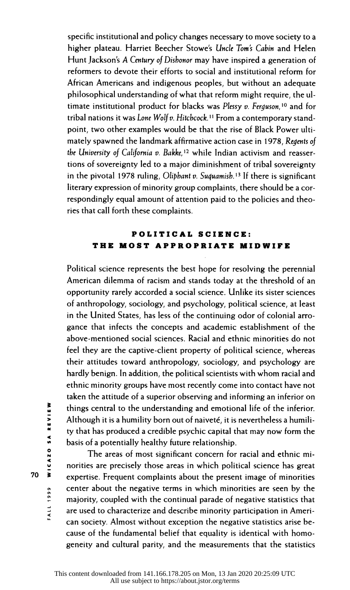specific institutional and policy changes necessary to move society to a higher plateau. Harriet Beecher Stowe's Uncle Tom's Cabin and Helen Hunt Jackson's A Century of Dishonor may have inspired a generation of reformers to devote their efforts to social and institutional reform for African Americans and indigenous peoples, but without an adequate philosophical understanding of what that reform might require, the ul timate institutional product for blacks was Plessy  $v$ . Ferguson,<sup>10</sup> and for tribal nations it was Lone Wolf v. Hitchcock.<sup>11</sup> From a contemporary stand point, two other examples would be that the rise of Black Power ulti mately spawned the landmark affirmative action case in 1978, Regents of the University of California v. Bakke,<sup>12</sup> while Indian activism and reasser tions of sovereignty led to a major diminishment of tribal sovereignty in the pivotal 1978 ruling, Oliphant v. Suquamish.<sup>13</sup> If there is significant literary expression of minority group complaints, there should be a cor respondingly equal amount of attention paid to the policies and theo ries that call forth these complaints.

#### POLITICAL SCIENCE: THE MOST APPROPRIATE MIDWIFE

 Political science represents the best hope for resolving the perennial American dilemma of racism and stands today at the threshold of an opportunity rarely accorded a social science. Unlike its sister sciences of anthropology, sociology, and psychology, political science, at least in the United States, has less of the continuing odor of colonial arro gance that infects the concepts and academic establishment of the above-mentioned social sciences. Racial and ethnic minorities do not feel they are the captive-client property of political science, whereas their attitudes toward anthropology, sociology, and psychology are hardly benign. In addition, the political scientists with whom racial and ethnic minority groups have most recently come into contact have not taken the attitude of a superior observing and informing an inferior on things central to the understanding and emotional life of the inferior. Although it is a humility born out of naiveté, it is nevertheless a humili-Examples things central to the understanding and emotional life of the inferior.<br>
Although it is a humility born out of naiveté, it is nevertheless a humility that has produced a credible psychic capital that may now form basis of a potentially healthy future relationship.

The areas of most significant concern for racial and ethnic minorities are precisely those areas in which political science has great 70  $\overline{\phantom{a}}$  expertise. Frequent complaints about the present image of minorities **CERT SERVIET 2018 CERT SERVIET SERVIET SERVIET SERVIET SERVIET SERVIET SERVIET SERVIET SERVIET SERVIET SERVIET SERVIET SERVIET SERVIET SERVIET SERVIET SERVIET SERVIET SERVIET SERVIET SERVIET SERVIET SERVIET SERVIET SERVI**  majority, coupled with the continual parade of negative statistics that are used to characterize and describe minority participation in Ameri can society. Almost without exception the negative statistics arise be cause of the fundamental belief that equality is identical with homo geneity and cultural parity, and the measurements that the statistics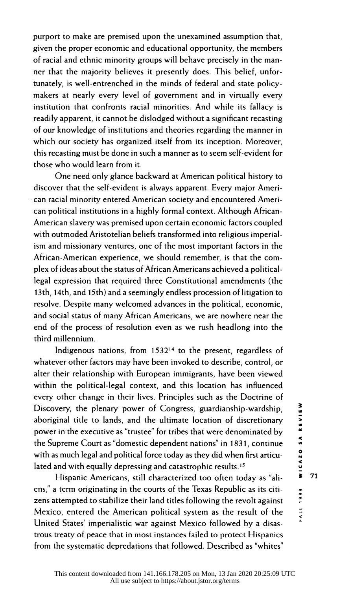purport to make are premised upon the unexamined assumption that, given the proper economic and educational opportunity, the members of racial and ethnic minority groups will behave precisely in the man ner that the majority believes it presently does. This belief, unfor tunately, is well-entrenched in the minds of federal and state policy makers at nearly every level of government and in virtually every institution that confronts racial minorities. And while its fallacy is readily apparent, it cannot be dislodged without a significant recasting of our knowledge of institutions and theories regarding the manner in which our society has organized itself from its inception. Moreover, this recasting must be done in such a manner as to seem self-evident for those who would learn from it.

 One need only glance backward at American political history to discover that the self-evident is always apparent. Every major Ameri can racial minority entered American society and encountered Ameri can political institutions in a highly formal context. Although African- American slavery was premised upon certain economic factors coupled with outmoded Aristotelian beliefs transformed into religious imperial ism and missionary ventures, one of the most important factors in the African-American experience, we should remember, is that the com plex of ideas about the status of African Americans achieved a political legal expression that required three Constitutional amendments (the 13th, 14th, and 15th) and a seemingly endless procession of litigation to resolve. Despite many welcomed advances in the political, economic, and social status of many African Americans, we are nowhere near the end of the process of resolution even as we rush headlong into the third millennium.

 Indigenous nations, from 153214 to the present, regardless of whatever other factors may have been invoked to describe, control, or alter their relationship with European immigrants, have been viewed within the political-legal context, and this location has influenced every other change in their lives. Principles such as the Doctrine of Discovery, the plenary power of Congress, guardianship-wardship, Discovery, the plenary power of Congress, guardianship-wardship,<br>aboriginal title to lands, and the ultimate location of discretionary<br>power in the executive as "trustee" for tribes that were denominated by<br>the Supreme Co power in the executive as "trustee" for tribes that were denominated by the Supreme Court as "domestic dependent nations" in 1831, continue , with as much legal and political force today as they did when first articu lated and with equally depressing and catastrophic results.<sup>15</sup>

Hispanic Americans, still characterized too often today as "ali-  $\overline{ }$  71 ens," a term originating in the courts of the Texas Republic as its citi zens attempted to stabilize their land titles following the revolt against Mexico, entered the American political system as the result of the United States' imperialistic war against Mexico followed by a disas trous treaty of peace that in most instances failed to protect Hispanics from the systematic depredations that followed. Described as "whites"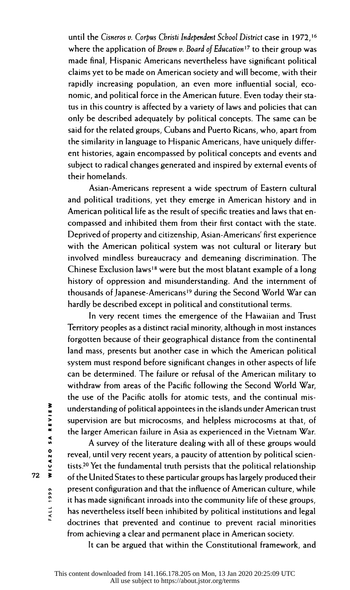until the Cisneros v. Corpus Christi Independent School District case in 1972,<sup>16</sup> where the application of Brown v. Board of Education<sup>17</sup> to their group was made final, Hispanic Americans nevertheless have significant political claims yet to be made on American society and will become, with their rapidly increasing population, an even more influential social, eco nomic, and political force in the American future. Even today their sta tus in this country is affected by a variety of laws and policies that can only be described adequately by political concepts. The same can be said for the related groups, Cubans and Puerto Ricans, who, apart from the similarity in language to Hispanic Americans, have uniquely differ ent histories, again encompassed by political concepts and events and subject to radical changes generated and inspired by external events of their homelands.

 Asian-Americans represent a wide spectrum of Eastern cultural and political traditions, yet they emerge in American history and in American political life as the result of specific treaties and laws that en compassed and inhibited them from their first contact with the state. Deprived of property and citizenship, Asian-Americans' first experience with the American political system was not cultural or literary but involved mindless bureaucracy and demeaning discrimination. The Chinese Exclusion laws18 were but the most blatant example of a long history of oppression and misunderstanding. And the internment of thousands of Japanese-Americans'9 during the Second World War can hardly be described except in political and constitutional terms.

 In very recent times the emergence of the Hawaiian and Trust Territory peoples as a distinct racial minority, although in most instances forgotten because of their geographical distance from the continental land mass, presents but another case in which the American political system must respond before significant changes in other aspects of life can be determined. The failure or refusal of the American military to withdraw from areas of the Pacific following the Second World War, the use of the Pacific atolls for atomic tests, and the continual mis understanding of political appointees in the islands under American trust the larger American failure in Asia as experienced in the Vietnam War.

**Example 12**<br>
Interstanding of political appointees in the islands under American trust<br>
supervision are but microcosms, and helpless microcosms at that, of<br>
the larger American failure in Asia as experienced in the Vietna A survey of the literature dealing with all of these groups would reveal, until very recent years, a paucity of attention by political scien tists.20 Yet the fundamental truth persists that the political relationship 72  $\bar{\mathbf{3}}$  of the United States to these particular groups has largely produced their present configuration and that the influence of American culture, while it has made significant inroads into the community life of these groups, has nevertheless itself been inhibited by political institutions and legal doctrines that prevented and continue to prevent racial minorities from achieving a clear and permanent place in American society.

It can be argued that within the Constitutional framework, and

**FALL 1999**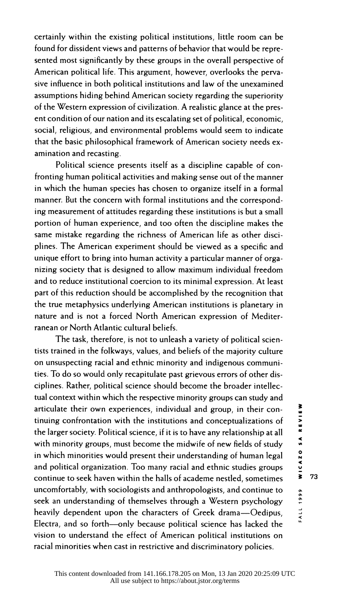certainly within the existing political institutions, little room can be found for dissident views and patterns of behavior that would be repre sented most significantly by these groups in the overall perspective of American political life. This argument, however, overlooks the perva sive influence in both political institutions and law of the unexamined assumptions hiding behind American society regarding the superiority of the Western expression of civilization. A realistic glance at the pres ent condition of our nation and its escalating set of political, economic, social, religious, and environmental problems would seem to indicate that the basic philosophical framework of American society needs ex amination and recasting.

 Political science presents itself as a discipline capable of con fronting human political activities and making sense out of the manner in which the human species has chosen to organize itself in a formal manner. But the concern with formal institutions and the correspond ing measurement of attitudes regarding these institutions is but a small portion of human experience, and too often the discipline makes the same mistake regarding the richness of American life as other disci plines. The American experiment should be viewed as a specific and unique effort to bring into human activity a particular manner of orga nizing society that is designed to allow maximum individual freedom and to reduce institutional coercion to its minimal expression. At least part of this reduction should be accomplished by the recognition that the true metaphysics underlying American institutions is planetary in nature and is not a forced North American expression of Mediter ranean or North Atlantic cultural beliefs.

 The task, therefore, is not to unleash a variety of political scien tists trained in the folkways, values, and beliefs of the majority culture on unsuspecting racial and ethnic minority and indigenous communi ties. To do so would only recapitulate past grievous errors of other dis ciplines. Rather, political science should become the broader intellec tual context within which the respective minority groups can study and articulate their own experiences, individual and group, in their con-<br>tinuing confrontation with the institutions and conceptualizations of<br>the larger society. Political science, if it is to have any relationship at all<br>w tinuing confrontation with the institutions and conceptualizations of the larger society. Political science, if it is to have any relationship at all = with minority groups, must become the midwife of new fields of study in which minorities would present their understanding of human legal and political organization. Too many racial and ethnic studies groups continue to seek haven within the halls of academe nestled, sometimes uncomfortably, with sociologists and anthropologists, and continue to , seek an understanding of themselves through a Western psychology heavily dependent upon the characters of Greek drama-Oedipus, Electra, and so forth-only because political science has lacked the vision to understand the effect of American political institutions on racial minorities when cast in restrictive and discriminatory policies.

73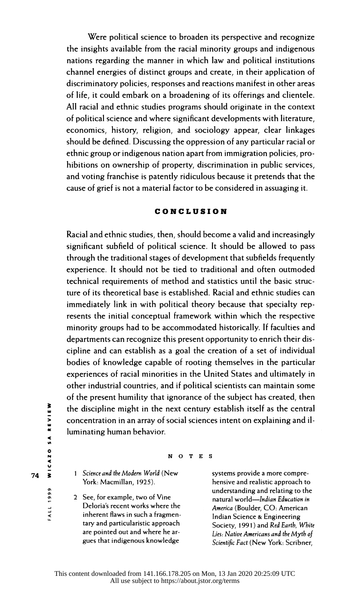Were political science to broaden its perspective and recognize the insights available from the racial minority groups and indigenous nations regarding the manner in which law and political institutions channel energies of distinct groups and create, in their application of discriminatory policies, responses and reactions manifest in other areas of life, it could embark on a broadening of its offerings and clientele. All racial and ethnic studies programs should originate in the context of political science and where significant developments with literature, economics, history, religion, and sociology appear, clear linkages should be defined. Discussing the oppression of any particular racial or ethnic group or indigenous nation apart from immigration policies, pro hibitions on ownership of property, discrimination in public services, and voting franchise is patently ridiculous because it pretends that the cause of grief is not a material factor to be considered in assuaging it.

#### CONCLUSION

 Racial and ethnic studies, then, should become a valid and increasingly significant subfield of political science. It should be allowed to pass through the traditional stages of development that subfields frequently experience. It should not be tied to traditional and often outmoded technical requirements of method and statistics until the basic struc ture of its theoretical base is established. Racial and ethnic studies can immediately link in with political theory because that specialty rep resents the initial conceptual framework within which the respective minority groups had to be accommodated historically. If faculties and departments can recognize this present opportunity to enrich their dis cipline and can establish as a goal the creation of a set of individual bodies of knowledge capable of rooting themselves in the particular experiences of racial minorities in the United States and ultimately in other industrial countries, and if political scientists can maintain some of the present humility that ignorance of the subject has created, then the discipline might in the next century establish itself as the central concentration in an array of social sciences intent on explaining and il luminating human behavior.

 $74$   $\overline{\phantom{1}}$  1 Science and the Modern World (New systems provide a more compre-<br>
York: Macmillan, 1925). Thensive and realistic approach to

See, for example, two of Vine natural world—Indian Education in<br>Deloria's recent works where the natural world Roulder CO, American Deloria's recent works where the *America* (Boulder, CO: American<br>
inherent flaws in such a fragmen-<br>
Indian Science & Engineering inherent flaws in such a fragmen-<br>
tary and particularistic approach
Society 1991) and Red Earth 1

# N<br>O<br>N O T E S<br><

hensive and realistic approach to inderstanding and relating to the<br>2 See, for example, two of Vine **come and relations** and relation to the pattern of the structure in tary and particularistic approach Society, 1991) and Red Earth, White<br>are pointed out and where he ar-<br>Lies Native Americans and the Math of are pointed out and where he ar-<br>gues that indigenous knowledge Scientific Eact (New York: Scribner Scientific Fact (New York: Scribner,

0

u

**FALL 1999**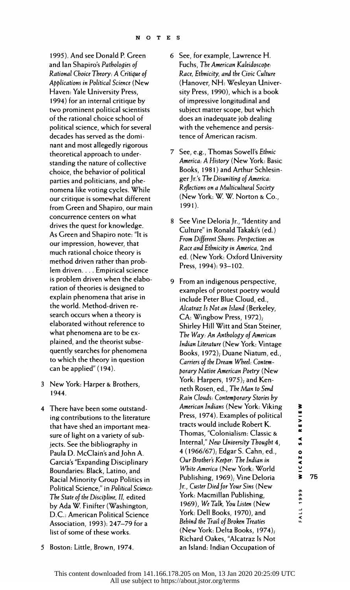1995). And see Donald P. Green Rational Choice Theory: A Critique of Applications in Political Science (New Haven: Yale University Press, 1994) for an internal critique by two prominent political scientists of the rational choice school of political science, which for several decades has served as the domi nant and most allegedly rigorous theoretical approach to under standing the nature of collective choice, the behavior of political parties and politicians, and phe nomena like voting cycles. While our critique is somewhat different from Green and Shapiro, our main concurrence centers on what drives the quest for knowledge. As Green and Shapiro note: "It is our impression, however, that much rational choice theory is method driven rather than prob lem driven.... Empirical science is problem driven when the elabo ration of theories is designed to explain phenomena that arise in the world. Method-driven re search occurs when a theory is elaborated without reference to what phenomena are to be ex plained, and the theorist subse quently searches for phenomena to which the theory in question can be applied" (194).

- 3 New York: Harper & Brothers, 1944.
- 4 There have been some outstand ing contributions to the literature that have shed an important mea sure of light on a variety of sub jects. See the bibliography in Paula D. McClain's and John A. Garcia's "Expanding Disciplinary Boundaries: Black, Latino, and Racial Minority Group Politics in Political Science," in Political Science: The State of the Discipline, II, edited by Ada W. Finifter (Washington, D.C.: American Political Science Association, 1993): 247-79 for a list of some of these works.
- and lan Shapiro's Pathologies of 6 See, for example, Lawrence H. Fuchs, The American Kaleidoscope: Race, Ethnicity, and the Civic Culture (Hanover, NH: Wesleyan Univer sity Press, 1990), which is a book of impressive longitudinal and subject matter scope, but which does an inadequate job dealing with the vehemence and persis tence of American racism.
	- 7 See, e.g., Thomas Sowell's Ethnic America: A History (New York: Basic Books, 1981) and Arthur Schlesin ger Jr.'s The Disuniting of America: Reflections on a Multicultural Society (New York: W. W. Norton & Co., 1991).
	- 8 See Vine Deloria Jr., "Identity and Culture" in Ronald Takaki's (ed.) From Different Shores: Perspectives on Race and Ethnicity in America, 2nd ed. (New York: Oxford University Press, 1994): 93-102.
	- 9 From an indigenous perspective, examples of protest poetry would include Peter Blue Cloud, ed., Alcatraz Is Not an Island (Berkeley, CA: Wingbow Press, 1972); Shirley Hill Witt and Stan Steiner, The Way: An Anthology of American Indian Literature (New York: Vintage Books, 1972); Duane Niatum, ed., Carriers of the Dream Wheel: Contem porary Native American Poetry (New York: Harpers, 1975); and Ken neth Rosen, ed., The Man to Send Rain Clouds: Contemporary Stories by American Indians (New York: Viking Press, 1974). Examples of political tracts would include Robert K. Thomas, "Colonialism: Classic & Internal," New University Thought 4, 4 (1966/67); Edgar S. Cahn, ed., Our Brothers Keeper: The Indian in White America (New York: World Publishing, 1969); Vine Deloria Jr., Custer Died for Your Sins (New York: Macmillan Publishing, 1969), We Talk, You Listen (New York: Dell Books, 1970), and Behind the Trail of Broken Treaties (New York: Delta Books, 1974); Richard Oakes, "Alcatraz Is Not an Island: Indian Occupation of

 $\sigma$  $\sigma$  75

**a** 

5 Boston: Little, Brown, 1974.